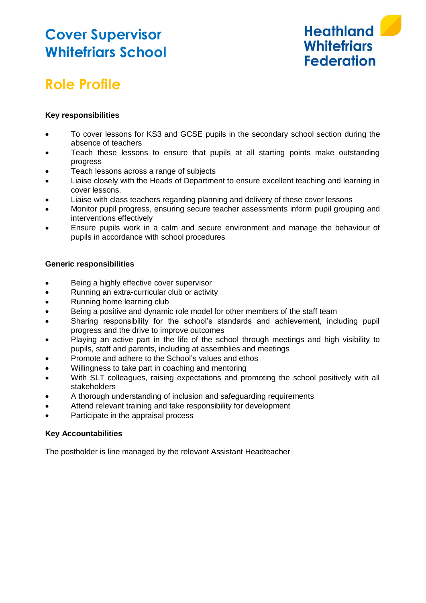### **Cover Supervisor Whitefriars School**



# **Role Profile**

### **Key responsibilities**

- To cover lessons for KS3 and GCSE pupils in the secondary school section during the absence of teachers
- Teach these lessons to ensure that pupils at all starting points make outstanding progress
- Teach lessons across a range of subjects
- Liaise closely with the Heads of Department to ensure excellent teaching and learning in cover lessons.
- Liaise with class teachers regarding planning and delivery of these cover lessons
- Monitor pupil progress, ensuring secure teacher assessments inform pupil grouping and interventions effectively
- Ensure pupils work in a calm and secure environment and manage the behaviour of pupils in accordance with school procedures

#### **Generic responsibilities**

- Being a highly effective cover supervisor
- Running an extra-curricular club or activity
- Running home learning club
- Being a positive and dynamic role model for other members of the staff team
- Sharing responsibility for the school's standards and achievement, including pupil progress and the drive to improve outcomes
- Playing an active part in the life of the school through meetings and high visibility to pupils, staff and parents, including at assemblies and meetings
- Promote and adhere to the School's values and ethos
- Willingness to take part in coaching and mentoring
- With SLT colleagues, raising expectations and promoting the school positively with all stakeholders
- A thorough understanding of inclusion and safeguarding requirements
- Attend relevant training and take responsibility for development
- Participate in the appraisal process

#### **Key Accountabilities**

The postholder is line managed by the relevant Assistant Headteacher